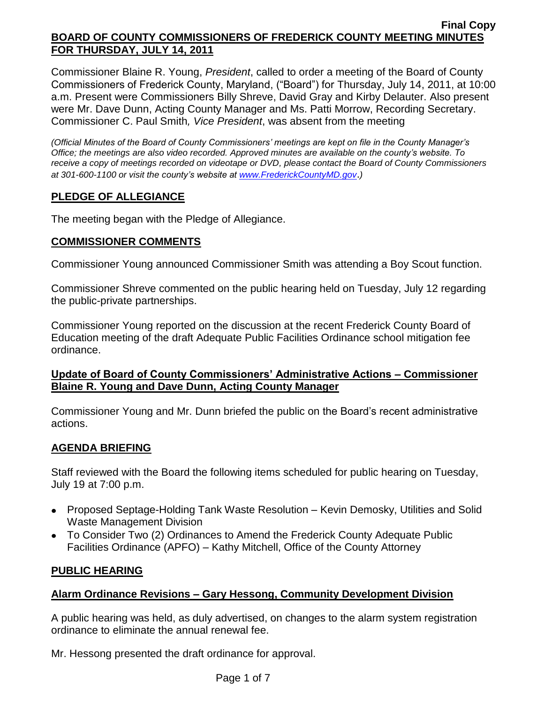Commissioner Blaine R. Young, *President*, called to order a meeting of the Board of County Commissioners of Frederick County, Maryland, ("Board") for Thursday, July 14, 2011, at 10:00 a.m. Present were Commissioners Billy Shreve, David Gray and Kirby Delauter. Also present were Mr. Dave Dunn, Acting County Manager and Ms. Patti Morrow, Recording Secretary. Commissioner C. Paul Smith*, Vice President*, was absent from the meeting

*(Official Minutes of the Board of County Commissioners' meetings are kept on file in the County Manager's Office; the meetings are also video recorded. Approved minutes are available on the county's website. To receive a copy of meetings recorded on videotape or DVD, please contact the Board of County Commissioners at 301-600-1100 or visit the county's website at [www.FrederickCountyMD.gov](http://www.frederickcountymd.gov/)*.*)*

# **PLEDGE OF ALLEGIANCE**

The meeting began with the Pledge of Allegiance.

## **COMMISSIONER COMMENTS**

Commissioner Young announced Commissioner Smith was attending a Boy Scout function.

Commissioner Shreve commented on the public hearing held on Tuesday, July 12 regarding the public-private partnerships.

Commissioner Young reported on the discussion at the recent Frederick County Board of Education meeting of the draft Adequate Public Facilities Ordinance school mitigation fee ordinance.

## **Update of Board of County Commissioners' Administrative Actions – Commissioner Blaine R. Young and Dave Dunn, Acting County Manager**

Commissioner Young and Mr. Dunn briefed the public on the Board's recent administrative actions.

# **AGENDA BRIEFING**

Staff reviewed with the Board the following items scheduled for public hearing on Tuesday, July 19 at 7:00 p.m.

- Proposed Septage-Holding Tank Waste Resolution Kevin Demosky, Utilities and Solid Waste Management Division
- To Consider Two (2) Ordinances to Amend the Frederick County Adequate Public Facilities Ordinance (APFO) – Kathy Mitchell, Office of the County Attorney

## **PUBLIC HEARING**

## **Alarm Ordinance Revisions – Gary Hessong, Community Development Division**

A public hearing was held, as duly advertised, on changes to the alarm system registration ordinance to eliminate the annual renewal fee.

Mr. Hessong presented the draft ordinance for approval.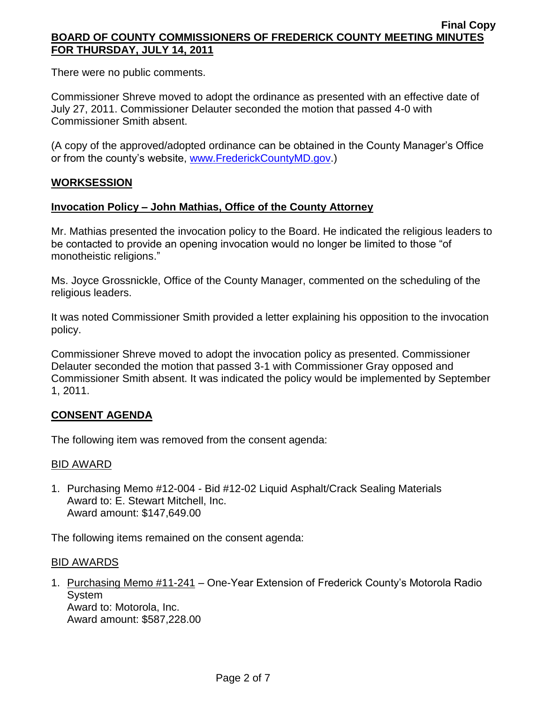There were no public comments.

Commissioner Shreve moved to adopt the ordinance as presented with an effective date of July 27, 2011. Commissioner Delauter seconded the motion that passed 4-0 with Commissioner Smith absent.

(A copy of the approved/adopted ordinance can be obtained in the County Manager's Office or from the county's website, [www.FrederickCountyMD.gov.](http://www.frederickcountymd.gov/))

# **WORKSESSION**

## **Invocation Policy – John Mathias, Office of the County Attorney**

Mr. Mathias presented the invocation policy to the Board. He indicated the religious leaders to be contacted to provide an opening invocation would no longer be limited to those "of monotheistic religions."

Ms. Joyce Grossnickle, Office of the County Manager, commented on the scheduling of the religious leaders.

It was noted Commissioner Smith provided a letter explaining his opposition to the invocation policy.

Commissioner Shreve moved to adopt the invocation policy as presented. Commissioner Delauter seconded the motion that passed 3-1 with Commissioner Gray opposed and Commissioner Smith absent. It was indicated the policy would be implemented by September 1, 2011.

## **CONSENT AGENDA**

The following item was removed from the consent agenda:

## BID AWARD

1. Purchasing Memo #12-004 - Bid #12-02 Liquid Asphalt/Crack Sealing Materials Award to: E. Stewart Mitchell, Inc. Award amount: \$147,649.00

The following items remained on the consent agenda:

#### BID AWARDS

1. Purchasing Memo #11-241 – One-Year Extension of Frederick County's Motorola Radio System Award to: Motorola, Inc.

Award amount: \$587,228.00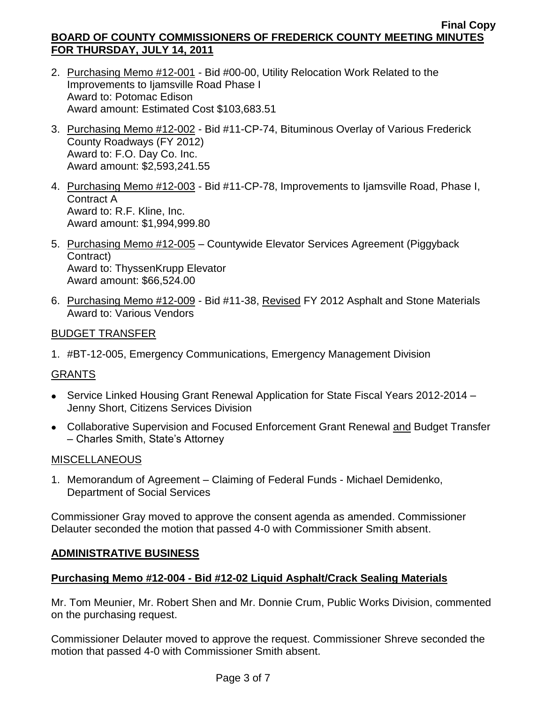- 2. Purchasing Memo #12-001 Bid #00-00, Utility Relocation Work Related to the Improvements to Ijamsville Road Phase I Award to: Potomac Edison Award amount: Estimated Cost \$103,683.51
- 3. Purchasing Memo #12-002 Bid #11-CP-74, Bituminous Overlay of Various Frederick County Roadways (FY 2012) Award to: F.O. Day Co. Inc. Award amount: \$2,593,241.55
- 4. Purchasing Memo #12-003 Bid #11-CP-78, Improvements to Ijamsville Road, Phase I, Contract A Award to: R.F. Kline, Inc. Award amount: \$1,994,999.80
- 5. Purchasing Memo #12-005 Countywide Elevator Services Agreement (Piggyback Contract) Award to: ThyssenKrupp Elevator Award amount: \$66,524.00
- 6. Purchasing Memo #12-009 Bid #11-38, Revised FY 2012 Asphalt and Stone Materials Award to: Various Vendors

## BUDGET TRANSFER

1. #BT-12-005, Emergency Communications, Emergency Management Division

## GRANTS

- Service Linked Housing Grant Renewal Application for State Fiscal Years 2012-2014 -Jenny Short, Citizens Services Division
- Collaborative Supervision and Focused Enforcement Grant Renewal and Budget Transfer – Charles Smith, State's Attorney

## **MISCELLANEOUS**

1. Memorandum of Agreement – Claiming of Federal Funds - Michael Demidenko, Department of Social Services

Commissioner Gray moved to approve the consent agenda as amended. Commissioner Delauter seconded the motion that passed 4-0 with Commissioner Smith absent.

## **ADMINISTRATIVE BUSINESS**

## **Purchasing Memo #12-004 - Bid #12-02 Liquid Asphalt/Crack Sealing Materials**

Mr. Tom Meunier, Mr. Robert Shen and Mr. Donnie Crum, Public Works Division, commented on the purchasing request.

Commissioner Delauter moved to approve the request. Commissioner Shreve seconded the motion that passed 4-0 with Commissioner Smith absent.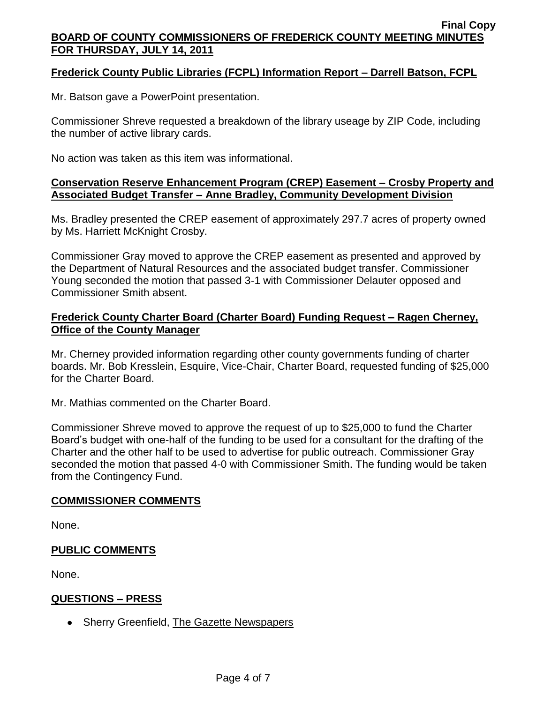# **Frederick County Public Libraries (FCPL) Information Report – Darrell Batson, FCPL**

Mr. Batson gave a PowerPoint presentation.

Commissioner Shreve requested a breakdown of the library useage by ZIP Code, including the number of active library cards.

No action was taken as this item was informational.

#### **Conservation Reserve Enhancement Program (CREP) Easement – Crosby Property and Associated Budget Transfer – Anne Bradley, Community Development Division**

Ms. Bradley presented the CREP easement of approximately 297.7 acres of property owned by Ms. Harriett McKnight Crosby.

Commissioner Gray moved to approve the CREP easement as presented and approved by the Department of Natural Resources and the associated budget transfer. Commissioner Young seconded the motion that passed 3-1 with Commissioner Delauter opposed and Commissioner Smith absent.

## **Frederick County Charter Board (Charter Board) Funding Request – Ragen Cherney, Office of the County Manager**

Mr. Cherney provided information regarding other county governments funding of charter boards. Mr. Bob Kresslein, Esquire, Vice-Chair, Charter Board, requested funding of \$25,000 for the Charter Board.

Mr. Mathias commented on the Charter Board.

Commissioner Shreve moved to approve the request of up to \$25,000 to fund the Charter Board's budget with one-half of the funding to be used for a consultant for the drafting of the Charter and the other half to be used to advertise for public outreach. Commissioner Gray seconded the motion that passed 4-0 with Commissioner Smith. The funding would be taken from the Contingency Fund.

## **COMMISSIONER COMMENTS**

None.

## **PUBLIC COMMENTS**

None.

## **QUESTIONS – PRESS**

• Sherry Greenfield, The Gazette Newspapers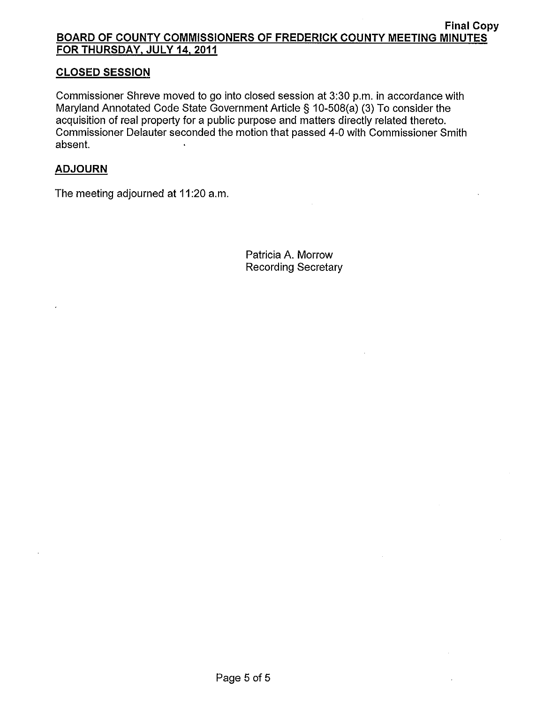# **CLOSED SESSION**

Commissioner Shreve moved to go into closed session at 3:30 p.m. in accordance with Maryland Annotated Code State Government Article § 10-508(a) (3) To consider the acquisition of real property for a public purpose and matters directly related thereto. Commissioner Delauter seconded the motion that passed 4-0 with Commissioner Smith absent.

## **ADJOURN**

The meeting adjourned at 11:20 a.m.

Patricia A. Morrow **Recording Secretary**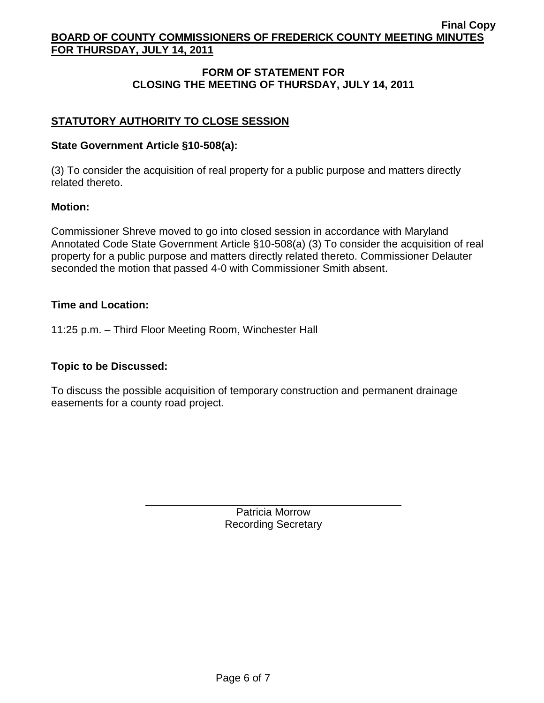# **FORM OF STATEMENT FOR CLOSING THE MEETING OF THURSDAY, JULY 14, 2011**

# **STATUTORY AUTHORITY TO CLOSE SESSION**

#### **State Government Article §10-508(a):**

(3) To consider the acquisition of real property for a public purpose and matters directly related thereto.

#### **Motion:**

Commissioner Shreve moved to go into closed session in accordance with Maryland Annotated Code State Government Article §10-508(a) (3) To consider the acquisition of real property for a public purpose and matters directly related thereto. Commissioner Delauter seconded the motion that passed 4-0 with Commissioner Smith absent.

#### **Time and Location:**

11:25 p.m. – Third Floor Meeting Room, Winchester Hall

## **Topic to be Discussed:**

To discuss the possible acquisition of temporary construction and permanent drainage easements for a county road project.

> Patricia Morrow Recording Secretary